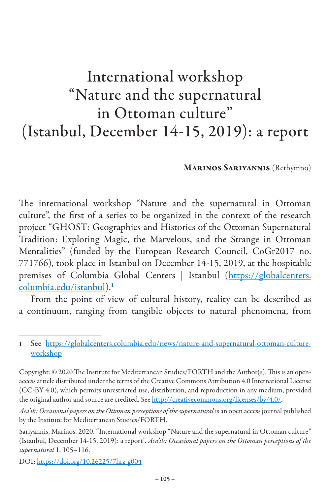## International workshop "Nature and the supernatural in Ottoman culture" (Istanbul, December 14-15, 2019): a report

Marinos Sariyannis (Rethymno)

The international workshop "Nature and the supernatural in Ottoman culture", the first of a series to be organized in the context of the research project "GHOST: Geographies and Histories of the Ottoman Supernatural Tradition: Exploring Magic, the Marvelous, and the Strange in Ottoman Mentalities" (funded by the European Research Council, CoGr2017 no. 771766), took place in Istanbul on December 14-15, 2019, at the hospitable premises of Columbia Global Centers | Istanbul (https://globalcenters. columbia.edu/istanbul).<sup>1</sup>

From the point of view of cultural history, reality can be described as a continuum, ranging from tangible objects to natural phenomena, from

DOI: https://doi.org/10.26225/7hrz-g004

<sup>1</sup> See https://globalcenters.columbia.edu/news/nature-and-supernatural-ottoman-cultureworkshop

Copyright: © 2020 The Institute for Mediterranean Studies/FORTH and the Author(s). This is an openaccess article distributed under the terms of the Creative Commons Attribution 4.0 International License (CC-BY 4.0), which permits unrestricted use, distribution, and reproduction in any medium, provided the original author and source are credited. See http://creativecommons.org/licenses/by/4.0/.

*Aca'ib: Occasional papers on the Ottoman perceptions of the supernatural* is an open access journal published by the Institute for Mediterranean Studies/FORTH.

Sariyannis, Marinos. 2020. "International workshop "Nature and the supernatural in Ottoman culture" (Istanbul, December 14-15, 2019): a report". *Aca'ib: Occasional papers on the Ottoman perceptions of the supernatural* 1, 105–116.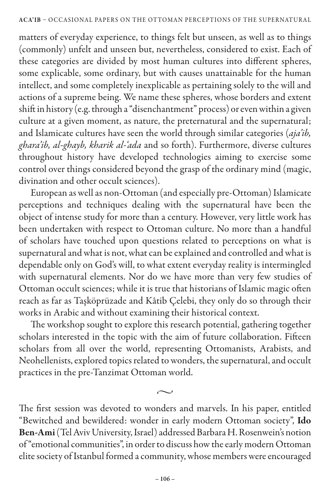matters of everyday experience, to things felt but unseen, as well as to things (commonly) unfelt and unseen but, nevertheless, considered to exist. Each of these categories are divided by most human cultures into different spheres, some explicable, some ordinary, but with causes unattainable for the human intellect, and some completely inexplicable as pertaining solely to the will and actions of a supreme being. We name these spheres, whose borders and extent shift in history (e.g. through a "disenchantment" process) or even within a given culture at a given moment, as nature, the preternatural and the supernatural; and Islamicate cultures have seen the world through similar categories (*aja'ib, ghara'ib, al-ghayb, kharik al-'ada* and so forth). Furthermore, diverse cultures throughout history have developed technologies aiming to exercise some control over things considered beyond the grasp of the ordinary mind (magic, divination and other occult sciences).

European as well as non-Ottoman (and especially pre-Ottoman) Islamicate perceptions and techniques dealing with the supernatural have been the object of intense study for more than a century. However, very little work has been undertaken with respect to Ottoman culture. No more than a handful of scholars have touched upon questions related to perceptions on what is supernatural and what is not, what can be explained and controlled and what is dependable only on God's will, to what extent everyday reality is intermingled with supernatural elements. Nor do we have more than very few studies of Ottoman occult sciences; while it is true that historians of Islamic magic often reach as far as Taşköprüzade and Kâtib Çelebi, they only do so through their works in Arabic and without examining their historical context.

The workshop sought to explore this research potential, gathering together scholars interested in the topic with the aim of future collaboration. Fifteen scholars from all over the world, representing Ottomanists, Arabists, and Neohellenists, explored topics related to wonders, the supernatural, and occult practices in the pre-Tanzimat Ottoman world.

The first session was devoted to wonders and marvels. In his paper, entitled "Bewitched and bewildered: wonder in early modern Ottoman society", Ido Ben-Ami (Tel Aviv University, Israel) addressed Barbara H. Rosenwein's notion of "emotional communities", in order to discuss how the early modern Ottoman elite society of Istanbul formed a community, whose members were encouraged

 $\sim$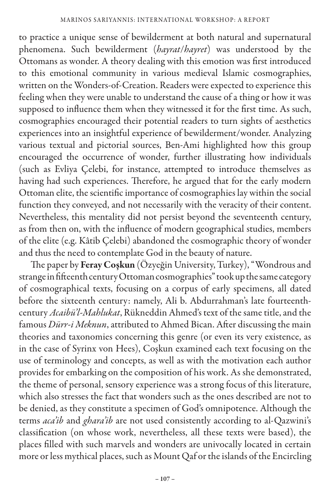to practice a unique sense of bewilderment at both natural and supernatural phenomena. Such bewilderment (*hayrat*/*hayret*) was understood by the Ottomans as wonder. A theory dealing with this emotion was first introduced to this emotional community in various medieval Islamic cosmographies, written on the Wonders-of-Creation. Readers were expected to experience this feeling when they were unable to understand the cause of a thing or how it was supposed to influence them when they witnessed it for the first time. As such, cosmographies encouraged their potential readers to turn sights of aesthetics experiences into an insightful experience of bewilderment/wonder. Analyzing various textual and pictorial sources, Ben-Ami highlighted how this group encouraged the occurrence of wonder, further illustrating how individuals (such as Evliya Çelebi, for instance, attempted to introduce themselves as having had such experiences. Therefore, he argued that for the early modern Ottoman elite, the scientific importance of cosmographies lay within the social function they conveyed, and not necessarily with the veracity of their content. Nevertheless, this mentality did not persist beyond the seventeenth century, as from then on, with the influence of modern geographical studies, members of the elite (e.g. Kâtib Çelebi) abandoned the cosmographic theory of wonder and thus the need to contemplate God in the beauty of nature.

The paper by Feray Coşkun (Özyeğin University, Turkey), "Wondrous and strange in fifteenth century Ottoman cosmographies" took up the same category of cosmographical texts, focusing on a corpus of early specimens, all dated before the sixteenth century: namely, Ali b. Abdurrahman's late fourteenthcentury *Acaibü'l-Mahlukat*, Rükneddin Ahmed's text of the same title, and the famous *Dürr-i Meknun*, attributed to Ahmed Bican. After discussing the main theories and taxonomies concerning this genre (or even its very existence, as in the case of Syrinx von Hees), Coşkun examined each text focusing on the use of terminology and concepts, as well as with the motivation each author provides for embarking on the composition of his work. As she demonstrated, the theme of personal, sensory experience was a strong focus of this literature, which also stresses the fact that wonders such as the ones described are not to be denied, as they constitute a specimen of God's omnipotence. Although the terms *aca'ib* and *ghara'ib* are not used consistently according to al-Qazwini's classification (on whose work, nevertheless, all these texts were based), the places filled with such marvels and wonders are univocally located in certain more or less mythical places, such as Mount Qaf or the islands of the Encircling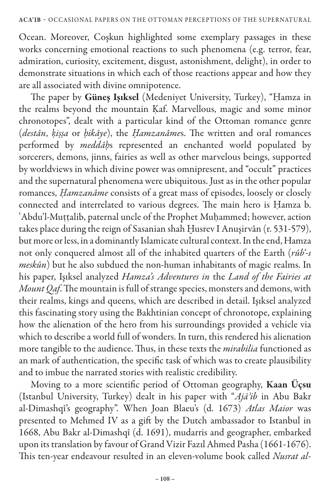Ocean. Moreover, Coşkun highlighted some exemplary passages in these works concerning emotional reactions to such phenomena (e.g. terror, fear, admiration, curiosity, excitement, disgust, astonishment, delight), in order to demonstrate situations in which each of those reactions appear and how they are all associated with divine omnipotence.

The paper by Güneş Işıksel (Medeniyet University, Turkey), "Ḥamza in the realms beyond the mountain Kaf. Marvellous, magic and some minor chronotopes", dealt with a particular kind of the Ottoman romance genre (*destân*, *ḳiṣṣa* or *ḥikâye*), the *Ḥamzanâme*s. The written and oral romances performed by *meddâḥ*s represented an enchanted world populated by sorcerers, demons, jinns, fairies as well as other marvelous beings, supported by worldviews in which divine power was omnipresent, and "occult" practices and the supernatural phenomena were ubiquitous. Just as in the other popular romances, *Ḥamzanâme* consists of a great mass of episodes, loosely or closely connected and interrelated to various degrees. The main hero is Ḥamza b. ʿAbdu'l-Muṭṭalib, paternal uncle of the Prophet Muḥammed; however, action takes place during the reign of Sasanian shah Ḫusrev I Anuşirvân (r. 531-579), but more or less, in a dominantly Islamicate cultural context. In the end, Hamza not only conquered almost all of the inhabited quarters of the Earth (*rûb'-ı meskûn*) but he also subdued the non-human inhabitants of magic realms. In his paper, Işıksel analyzed *Hamza's Adventures in* the *Land of the Fairies at Mount Qaf*. The mountain is full of strange species, monsters and demons, with their realms, kings and queens, which are described in detail. Işıksel analyzed this fascinating story using the Bakhtinian concept of chronotope, explaining how the alienation of the hero from his surroundings provided a vehicle via which to describe a world full of wonders. In turn, this rendered his alienation more tangible to the audience. Thus, in these texts the *mirabilia* functioned as an mark of authentication, the specific task of which was to create plausibility and to imbue the narrated stories with realistic credibility.

Moving to a more scientific period of Ottoman geography, Kaan Üçsu (Istanbul University, Turkey) dealt in his paper with "*Ajāʾib* in Abu Bakr al-Dimashqî's geography". When Joan Blaeu's (d. 1673) *Atlas Maior* was presented to Mehmed IV as a gift by the Dutch ambassador to Istanbul in 1668, Abu Bakr al-Dimashqî (d. 1691), mudarris and geographer, embarked upon its translation by favour of Grand Vizir Fazıl Ahmed Pasha (1661-1676). This ten-year endeavour resulted in an eleven-volume book called *Nusrat al-*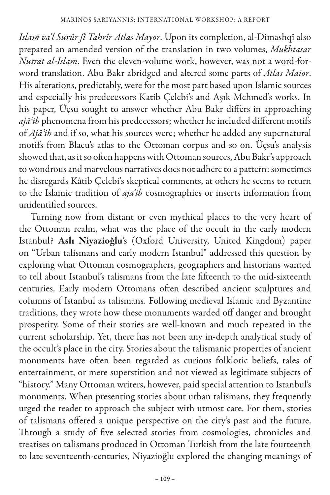*Islam va'l Surûr fî Tahrîr Atlas Mayor*. Upon its completion, al-Dimashqî also prepared an amended version of the translation in two volumes, *Mukhtasar Nusrat al-Islam*. Even the eleven-volume work, however, was not a word-forword translation. Abu Bakr abridged and altered some parts of *Atlas Maior*. His alterations, predictably, were for the most part based upon Islamic sources and especially his predecessors Katib Çelebi's and Aşık Mehmed's works. In his paper, Üçsu sought to answer whether Abu Bakr differs in approaching *ajāʾib* phenomena from his predecessors; whether he included different motifs of *Ajāʾib* and if so, what his sources were; whether he added any supernatural motifs from Blaeu's atlas to the Ottoman corpus and so on. Üçsu's analysis showed that, as it so often happens with Ottoman sources, Abu Bakr's approach to wondrous and marvelous narratives does not adhere to a pattern: sometimes he disregards Kâtib Çelebi's skeptical comments, at others he seems to return to the Islamic tradition of *aja'ib* cosmographies or inserts information from unidentified sources.

Turning now from distant or even mythical places to the very heart of the Ottoman realm, what was the place of the occult in the early modern Istanbul? Aslı Niyazioğlu's (Oxford University, United Kingdom) paper on "Urban talismans and early modern Istanbul" addressed this question by exploring what Ottoman cosmographers, geographers and historians wanted to tell about Istanbul's talismans from the late fifteenth to the mid-sixteenth centuries. Early modern Ottomans often described ancient sculptures and columns of Istanbul as talismans*.* Following medieval Islamic and Byzantine traditions, they wrote how these monuments warded off danger and brought prosperity. Some of their stories are well-known and much repeated in the current scholarship. Yet, there has not been any in-depth analytical study of the occult's place in the city. Stories about the talismanic properties of ancient monuments have often been regarded as curious folkloric beliefs, tales of entertainment, or mere superstition and not viewed as legitimate subjects of "history." Many Ottoman writers, however, paid special attention to Istanbul's monuments. When presenting stories about urban talismans, they frequently urged the reader to approach the subject with utmost care. For them, stories of talismans offered a unique perspective on the city's past and the future. Through a study of five selected stories from cosmologies, chronicles and treatises on talismans produced in Ottoman Turkish from the late fourteenth to late seventeenth-centuries, Niyazioğlu explored the changing meanings of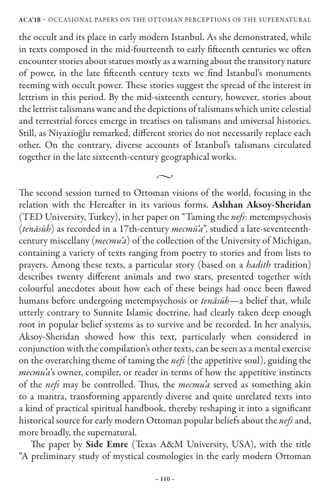the occult and its place in early modern Istanbul. As she demonstrated, while in texts composed in the mid-fourteenth to early fifteenth centuries we often encounter stories about statues mostly as a warning about the transitory nature of power, in the late fifteenth century texts we find Istanbul's monuments teeming with occult power. These stories suggest the spread of the interest in lettrism in this period. By the mid-sixteenth century, however, stories about the lettrist talismans wane and the depictions of talismans which unite celestial and terrestrial forces emerge in treatises on talismans and universal histories. Still, as Niyazioğlu remarked, different stories do not necessarily replace each other. On the contrary, diverse accounts of Istanbul's talismans circulated together in the late sixteenth-century geographical works.

 $\sim$ 

The second session turned to Ottoman visions of the world, focusing in the relation with the Hereafter in its various forms. Aslıhan Aksoy-Sheridan (TED University, Turkey), in her paper on "Taming the *nefs*: metempsychosis (*tenāsüh*) as recorded in a 17th-century *mecmū'a*", studied a late-seventeenthcentury miscellany (*mecmu'a*) of the collection of the University of Michigan, containing a variety of texts ranging from poetry to stories and from lists to prayers. Among these texts, a particular story (based on a *hadith* tradition) describes twenty different animals and two stars, presented together with colourful anecdotes about how each of these beings had once been flawed humans before undergoing metempsychosis or *tenâsüh*—a belief that, while utterly contrary to Sunnite Islamic doctrine, had clearly taken deep enough root in popular belief systems as to survive and be recorded. In her analysis, Aksoy-Sheridan showed how this text, particularly when considered in conjunction with the compilation's other texts, can be seen as a mental exercise on the overarching theme of taming the *nefs* (the appetitive soul), guiding the *mecmu'a*'s owner, compiler, or reader in terms of how the appetitive instincts of the *nefs* may be controlled. Thus, the *mecmu'a* served as something akin to a mantra, transforming apparently diverse and quite unrelated texts into a kind of practical spiritual handbook, thereby reshaping it into a significant historical source for early modern Ottoman popular beliefs about the *nefs* and, more broadly, the supernatural.

The paper by Side Emre (Texas A&M University, USA), with the title "A preliminary study of mystical cosmologies in the early modern Ottoman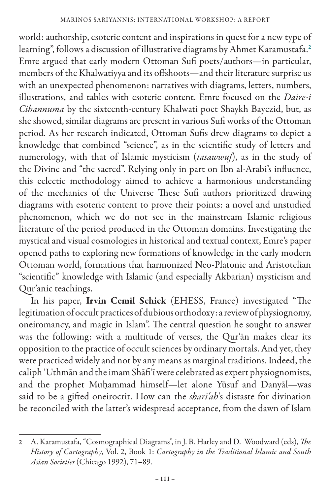world: authorship, esoteric content and inspirations in quest for a new type of learning", follows a discussion of illustrative diagrams by Ahmet Karamustafa.<sup>2</sup> Emre argued that early modern Ottoman Sufi poets/authors—in particular, members of the Khalwatiyya and its offshoots—and their literature surprise us with an unexpected phenomenon: narratives with diagrams, letters, numbers, illustrations, and tables with esoteric content. Emre focused on the *Daire-i Cihannuma* by the sixteenth-century Khalwati poet Shaykh Bayezid, but, as she showed, similar diagrams are present in various Sufi works of the Ottoman period. As her research indicated, Ottoman Sufis drew diagrams to depict a knowledge that combined "science", as in the scientific study of letters and numerology, with that of Islamic mysticism (*tasawwuf*), as in the study of the Divine and "the sacred". Relying only in part on Ibn al-Arabi's influence, this eclectic methodology aimed to achieve a harmonious understanding of the mechanics of the Universe These Sufi authors prioritized drawing diagrams with esoteric content to prove their points: a novel and unstudied phenomenon, which we do not see in the mainstream Islamic religious literature of the period produced in the Ottoman domains. Investigating the mystical and visual cosmologies in historical and textual context, Emre's paper opened paths to exploring new formations of knowledge in the early modern Ottoman world, formations that harmonized Neo-Platonic and Aristotelian "scientific" knowledge with Islamic (and especially Akbarian) mysticism and Qur'anic teachings.

In his paper, Irvin Cemil Schick (EHESS, France) investigated "The legitimation of occult practices of dubious orthodoxy: a review of physiognomy, oneiromancy, and magic in Islam". The central question he sought to answer was the following: with a multitude of verses, the Qur'ān makes clear its opposition to the practice of occult sciences by ordinary mortals. And yet, they were practiced widely and not by any means as marginal traditions. Indeed, the caliph 'Uthmān and the imam Shāfi'ī were celebrated as expert physiognomists, and the prophet Muḥammad himself—let alone Yūsuf and Danyāl—was said to be a gifted oneirocrit. How can the *sharī'ah*'s distaste for divination be reconciled with the latter's widespread acceptance, from the dawn of Islam

<sup>2</sup> A. Karamustafa, "Cosmographical Diagrams", in J. B. Harley and D. Woodward (eds), *The History of Cartography*, Vol. 2, Book 1: *Cartography in the Traditional Islamic and South Asian Societies* (Chicago 1992), 71–89.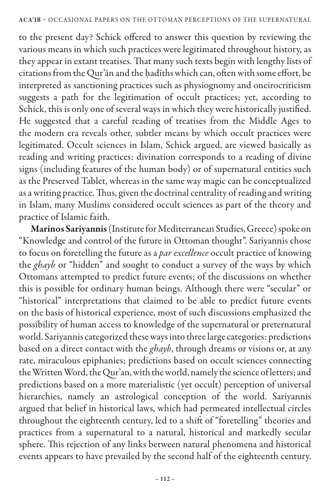to the present day? Schick offered to answer this question by reviewing the various means in which such practices were legitimated throughout history, as they appear in extant treatises. That many such texts begin with lengthy lists of citations from the Qur'ān and the ḥadīths which can, often with some effort, be interpreted as sanctioning practices such as physiognomy and oneirocriticism suggests a path for the legitimation of occult practices; yet, according to Schick, this is only one of several ways in which they were historically justified. He suggested that a careful reading of treatises from the Middle Ages to the modern era reveals other, subtler means by which occult practices were legitimated. Occult sciences in Islam, Schick argued, are viewed basically as reading and writing practices: divination corresponds to a reading of divine signs (including features of the human body) or of supernatural entities such as the Preserved Tablet, whereas in the same way magic can be conceptualized as a writing practice. Thus, given the doctrinal centrality of reading and writing in Islam, many Muslims considered occult sciences as part of the theory and practice of Islamic faith.

Marinos Sariyannis (Institute for Mediterranean Studies, Greece) spoke on "Knowledge and control of the future in Ottoman thought". Sariyannis chose to focus on foretelling the future as a *par excellence* occult practice of knowing the *ghayb* or "hidden" and sought to conduct a survey of the ways by which Ottomans attempted to predict future events; of the discussions on whether this is possible for ordinary human beings. Although there were "secular" or "historical" interpretations that claimed to be able to predict future events on the basis of historical experience, most of such discussions emphasized the possibility of human access to knowledge of the supernatural or preternatural world. Sariyannis categorized these ways into three large categories: predictions based on a direct contact with the *ghayb*, through dreams or visions or, at any rate, miraculous epiphanies; predictions based on occult sciences connecting the Written Word, the Qur'an, with the world, namely the science of letters; and predictions based on a more materialistic (yet occult) perception of universal hierarchies, namely an astrological conception of the world. Sariyannis argued that belief in historical laws, which had permeated intellectual circles throughout the eighteenth century, led to a shift of "foretelling" theories and practices from a supernatural to a natural, historical and markedly secular sphere. This rejection of any links between natural phenomena and historical events appears to have prevailed by the second half of the eighteenth century.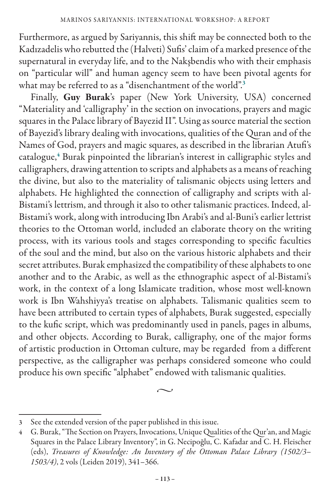Furthermore, as argued by Sariyannis, this shift may be connected both to the Kadızadelis who rebutted the (Halveti) Sufis' claim of a marked presence of the supernatural in everyday life, and to the Nakşbendis who with their emphasis on "particular will" and human agency seem to have been pivotal agents for what may be referred to as a "disenchantment of the world".<sup>3</sup>

Finally, Guy Burak's paper (New York University, USA) concerned "Materiality and 'calligraphy' in the section on invocations, prayers and magic squares in the Palace library of Bayezid II". Using as source material the section of Bayezid's library dealing with invocations, qualities of the Quran and of the Names of God, prayers and magic squares, as described in the librarian Atufi's catalogue,<sup>4</sup> Burak pinpointed the librarian's interest in calligraphic styles and calligraphers, drawing attention to scripts and alphabets as a means of reaching the divine, but also to the materiality of talismanic objects using letters and alphabets. He highlighted the connection of calligraphy and scripts with al-Bistami's lettrism, and through it also to other talismanic practices. Indeed, al-Bistami's work, along with introducing Ibn Arabi's and al-Buni's earlier lettrist theories to the Ottoman world, included an elaborate theory on the writing process, with its various tools and stages corresponding to specific faculties of the soul and the mind, but also on the various historic alphabets and their secret attributes. Burak emphasized the compatibility of these alphabets to one another and to the Arabic, as well as the ethnographic aspect of al-Bistami's work, in the context of a long Islamicate tradition, whose most well-known work is Ibn Wahshiyya's treatise on alphabets. Talismanic qualities seem to have been attributed to certain types of alphabets, Burak suggested, especially to the kufic script, which was predominantly used in panels, pages in albums, and other objects. According to Burak, calligraphy, one of the major forms of artistic production in Ottoman culture, may be regarded from a different perspective, as the calligrapher was perhaps considered someone who could produce his own specific "alphabet" endowed with talismanic qualities.

 $\sim$ 

<sup>3</sup> See the extended version of the paper published in this issue.

<sup>4</sup> G. Burak, "The Section on Prayers, Invocations, Unique Qualities of the Qur'an, and Magic Squares in the Palace Library Inventory", in G. Necipoğlu, C. Kafadar and C. H. Fleischer (eds), *Treasures of Knowledge: An Inventory of the Ottoman Palace Library (1502/3*– *1503/4)*, 2 vols (Leiden 2019), 341–366.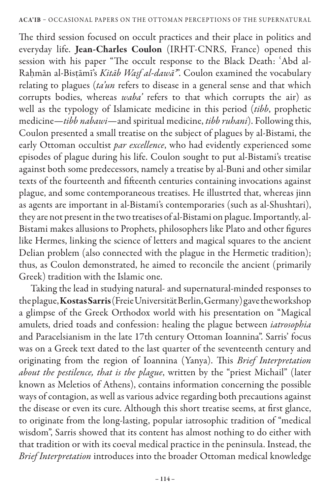The third session focused on occult practices and their place in politics and everyday life. Jean-Charles Coulon (IRHT-CNRS, France) opened this session with his paper "The occult response to the Black Death: ʿAbd al-Raḥmān al-Bisṭāmī's *Kitāb Waṣf al-dawāʾ*". Coulon examined the vocabulary relating to plagues (*ta'un* refers to disease in a general sense and that which corrupts bodies, whereas *waba'* refers to that which corrupts the air) as well as the typology of Islamicate medicine in this period (*tibb*, prophetic medicine—*tibb nabawi*—and spiritual medicine, *tibb ruhani*). Following this, Coulon presented a small treatise on the subject of plagues by al-Bistami, the early Ottoman occultist *par excellence*, who had evidently experienced some episodes of plague during his life. Coulon sought to put al-Bistami's treatise against both some predecessors, namely a treatise by al-Buni and other similar texts of the fourteenth and fifteenth centuries containing invocations against plague, and some contemporaneous treatises. He illustrted that, whereas jinn as agents are important in al-Bistami's contemporaries (such as al-Shushtari), they are not present in the two treatises of al-Bistami on plague. Importantly, al-Bistami makes allusions to Prophets, philosophers like Plato and other figures like Hermes, linking the science of letters and magical squares to the ancient Delian problem (also connected with the plague in the Hermetic tradition); thus, as Coulon demonstrated, he aimed to reconcile the ancient (primarily Greek) tradition with the Islamic one.

Taking the lead in studying natural- and supernatural-minded responses to the plague, Kostas Sarris (Freie Universität Berlin, Germany) gave the workshop a glimpse of the Greek Orthodox world with his presentation on "Magical amulets, dried toads and confession: healing the plague between *iatrosophia* and Paracelsianism in the late 17th century Ottoman Ioannina". Sarris' focus was on a Greek text dated to the last quarter of the seventeenth century and originating from the region of Ioannina (Yanya). This *Brief Interpretation about the pestilence, that is the plague*, written by the "priest Michail" (later known as Meletios of Athens), contains information concerning the possible ways of contagion, as well as various advice regarding both precautions against the disease or even its cure. Although this short treatise seems, at first glance, to originate from the long-lasting, popular iatrosophic tradition of "medical wisdom", Sarris showed that its content has almost nothing to do either with that tradition or with its coeval medical practice in the peninsula. Instead, the *Brief Interpretation* introduces into the broader Ottoman medical knowledge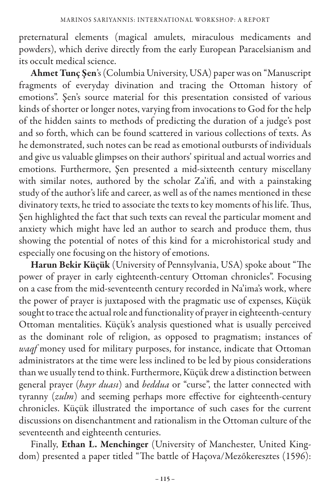preternatural elements (magical amulets, miraculous medicaments and powders), which derive directly from the early European Paracelsianism and its occult medical science.

Ahmet Tunç Şen's (Columbia University, USA) paper was on "Manuscript fragments of everyday divination and tracing the Ottoman history of emotions". Şen's source material for this presentation consisted of various kinds of shorter or longer notes, varying from invocations to God for the help of the hidden saints to methods of predicting the duration of a judge's post and so forth, which can be found scattered in various collections of texts. As he demonstrated, such notes can be read as emotional outbursts of individuals and give us valuable glimpses on their authors' spiritual and actual worries and emotions. Furthermore, Şen presented a mid-sixteenth century miscellany with similar notes, authored by the scholar Za'ifi, and with a painstaking study of the author's life and career, as well as of the names mentioned in these divinatory texts, he tried to associate the texts to key moments of his life. Thus, Şen highlighted the fact that such texts can reveal the particular moment and anxiety which might have led an author to search and produce them, thus showing the potential of notes of this kind for a microhistorical study and especially one focusing on the history of emotions.

Harun Bekir Küçük (University of Pennsylvania, USA) spoke about "The power of prayer in early eighteenth-century Ottoman chronicles". Focusing on a case from the mid-seventeenth century recorded in Na'ima's work, where the power of prayer is juxtaposed with the pragmatic use of expenses, Küçük sought to trace the actual role and functionality of prayer in eighteenth-century Ottoman mentalities. Küçük's analysis questioned what is usually perceived as the dominant role of religion, as opposed to pragmatism; instances of *waqf* money used for military purposes, for instance, indicate that Ottoman administrators at the time were less inclined to be led by pious considerations than we usually tend to think. Furthermore, Küçük drew a distinction between general prayer (*hayr duası*) and *beddua* or "curse", the latter connected with tyranny (*zulm*) and seeming perhaps more effective for eighteenth-century chronicles. Küçük illustrated the importance of such cases for the current discussions on disenchantment and rationalism in the Ottoman culture of the seventeenth and eighteenth centuries.

Finally, Ethan L. Menchinger (University of Manchester, United Kingdom) presented a paper titled "The battle of Haçova/Mezőkeresztes (1596):